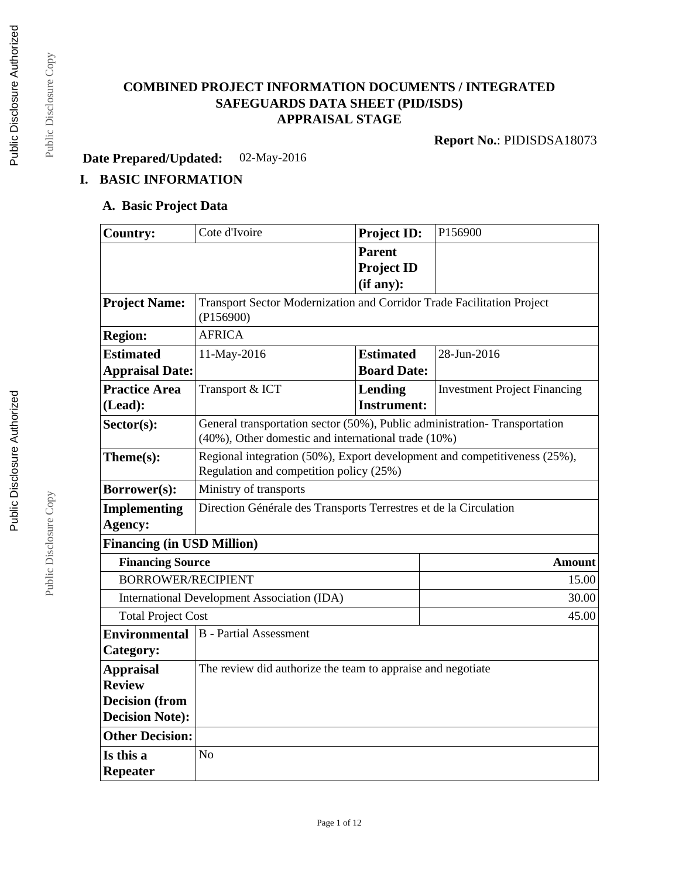# **COMBINED PROJECT INFORMATION DOCUMENTS / INTEGRATED SAFEGUARDS DATA SHEET (PID/ISDS) APPRAISAL STAGE**

**Report No.**: PIDISDSA18073

**Date Prepared/Updated:** 02-May-2016

# **I. BASIC INFORMATION**

## **A. Basic Project Data**

| <b>Country:</b>                   | Cote d'Ivoire                                                                                                                    | <b>Project ID:</b> | P156900                             |  |
|-----------------------------------|----------------------------------------------------------------------------------------------------------------------------------|--------------------|-------------------------------------|--|
|                                   |                                                                                                                                  | <b>Parent</b>      |                                     |  |
|                                   |                                                                                                                                  | <b>Project ID</b>  |                                     |  |
|                                   |                                                                                                                                  | (if any):          |                                     |  |
| <b>Project Name:</b>              | Transport Sector Modernization and Corridor Trade Facilitation Project<br>(P156900)                                              |                    |                                     |  |
| <b>Region:</b>                    | <b>AFRICA</b>                                                                                                                    |                    |                                     |  |
| <b>Estimated</b>                  | 11-May-2016                                                                                                                      | <b>Estimated</b>   | 28-Jun-2016                         |  |
| <b>Appraisal Date:</b>            |                                                                                                                                  | <b>Board Date:</b> |                                     |  |
| <b>Practice Area</b>              | Transport & ICT                                                                                                                  | Lending            | <b>Investment Project Financing</b> |  |
| (Lead):                           |                                                                                                                                  | <b>Instrument:</b> |                                     |  |
| $Sector(s)$ :                     | General transportation sector (50%), Public administration-Transportation<br>(40%), Other domestic and international trade (10%) |                    |                                     |  |
| Theme(s):                         | Regional integration (50%), Export development and competitiveness (25%),<br>Regulation and competition policy (25%)             |                    |                                     |  |
| Borrower(s):                      | Ministry of transports                                                                                                           |                    |                                     |  |
| <b>Implementing</b>               | Direction Générale des Transports Terrestres et de la Circulation                                                                |                    |                                     |  |
| Agency:                           |                                                                                                                                  |                    |                                     |  |
| <b>Financing (in USD Million)</b> |                                                                                                                                  |                    |                                     |  |
|                                   | <b>Financing Source</b><br><b>Amount</b>                                                                                         |                    |                                     |  |
| <b>BORROWER/RECIPIENT</b>         |                                                                                                                                  |                    | 15.00                               |  |
|                                   | <b>International Development Association (IDA)</b>                                                                               |                    |                                     |  |
| <b>Total Project Cost</b>         |                                                                                                                                  |                    | 45.00                               |  |
| <b>Environmental</b>              | <b>B</b> - Partial Assessment                                                                                                    |                    |                                     |  |
| Category:                         |                                                                                                                                  |                    |                                     |  |
| <b>Appraisal</b>                  | The review did authorize the team to appraise and negotiate                                                                      |                    |                                     |  |
| <b>Review</b>                     |                                                                                                                                  |                    |                                     |  |
| <b>Decision</b> (from             |                                                                                                                                  |                    |                                     |  |
| <b>Decision Note:</b>             |                                                                                                                                  |                    |                                     |  |
| <b>Other Decision:</b>            |                                                                                                                                  |                    |                                     |  |
| Is this a                         | N <sub>o</sub>                                                                                                                   |                    |                                     |  |
| <b>Repeater</b>                   |                                                                                                                                  |                    |                                     |  |

Public Disclosure Copy

Public Disclosure Copy

Public Disclosure Copy

Public Disclosure Copy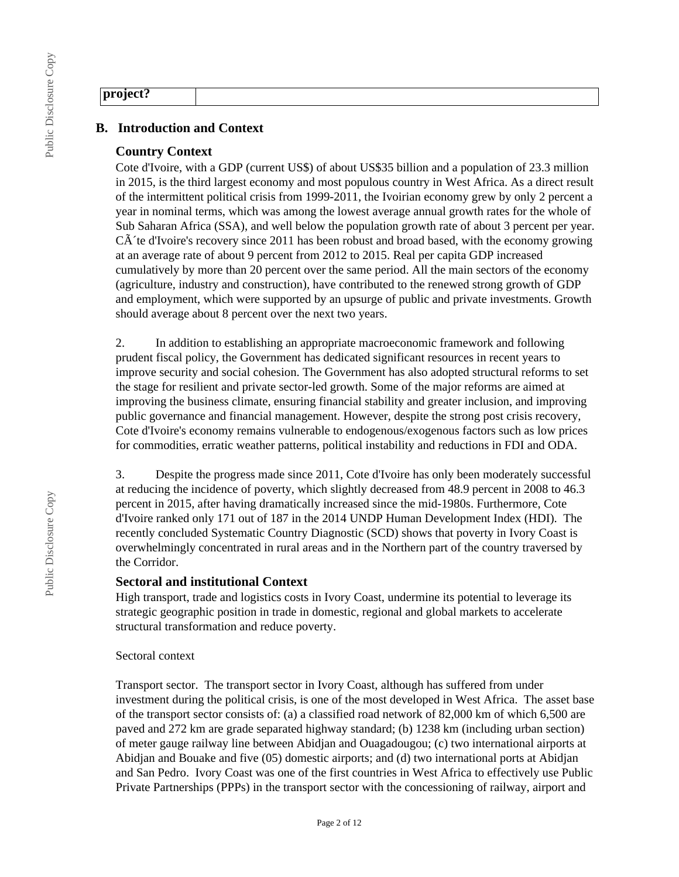### **project?**

## **B. Introduction and Context**

### **Country Context**

Cote d'Ivoire, with a GDP (current US\$) of about US\$35 billion and a population of 23.3 million in 2015, is the third largest economy and most populous country in West Africa. As a direct result of the intermittent political crisis from 1999-2011, the Ivoirian economy grew by only 2 percent a year in nominal terms, which was among the lowest average annual growth rates for the whole of Sub Saharan Africa (SSA), and well below the population growth rate of about 3 percent per year.  $C\tilde{A}$  te d'Ivoire's recovery since 2011 has been robust and broad based, with the economy growing at an average rate of about 9 percent from 2012 to 2015. Real per capita GDP increased cumulatively by more than 20 percent over the same period. All the main sectors of the economy (agriculture, industry and construction), have contributed to the renewed strong growth of GDP and employment, which were supported by an upsurge of public and private investments. Growth should average about 8 percent over the next two years.

2. In addition to establishing an appropriate macroeconomic framework and following prudent fiscal policy, the Government has dedicated significant resources in recent years to improve security and social cohesion. The Government has also adopted structural reforms to set the stage for resilient and private sector-led growth. Some of the major reforms are aimed at improving the business climate, ensuring financial stability and greater inclusion, and improving public governance and financial management. However, despite the strong post crisis recovery, Cote d'Ivoire's economy remains vulnerable to endogenous/exogenous factors such as low prices for commodities, erratic weather patterns, political instability and reductions in FDI and ODA.

3. Despite the progress made since 2011, Cote d'Ivoire has only been moderately successful at reducing the incidence of poverty, which slightly decreased from 48.9 percent in 2008 to 46.3 percent in 2015, after having dramatically increased since the mid-1980s. Furthermore, Cote d'Ivoire ranked only 171 out of 187 in the 2014 UNDP Human Development Index (HDI). The recently concluded Systematic Country Diagnostic (SCD) shows that poverty in Ivory Coast is overwhelmingly concentrated in rural areas and in the Northern part of the country traversed by the Corridor.

#### **Sectoral and institutional Context**

High transport, trade and logistics costs in Ivory Coast, undermine its potential to leverage its strategic geographic position in trade in domestic, regional and global markets to accelerate structural transformation and reduce poverty.

#### Sectoral context

Transport sector. The transport sector in Ivory Coast, although has suffered from under investment during the political crisis, is one of the most developed in West Africa. The asset base of the transport sector consists of: (a) a classified road network of 82,000 km of which 6,500 are paved and 272 km are grade separated highway standard; (b) 1238 km (including urban section) of meter gauge railway line between Abidjan and Ouagadougou; (c) two international airports at Abidjan and Bouake and five (05) domestic airports; and (d) two international ports at Abidjan and San Pedro. Ivory Coast was one of the first countries in West Africa to effectively use Public Private Partnerships (PPPs) in the transport sector with the concessioning of railway, airport and

Public Disclosure Copy

Public Disclosure Copy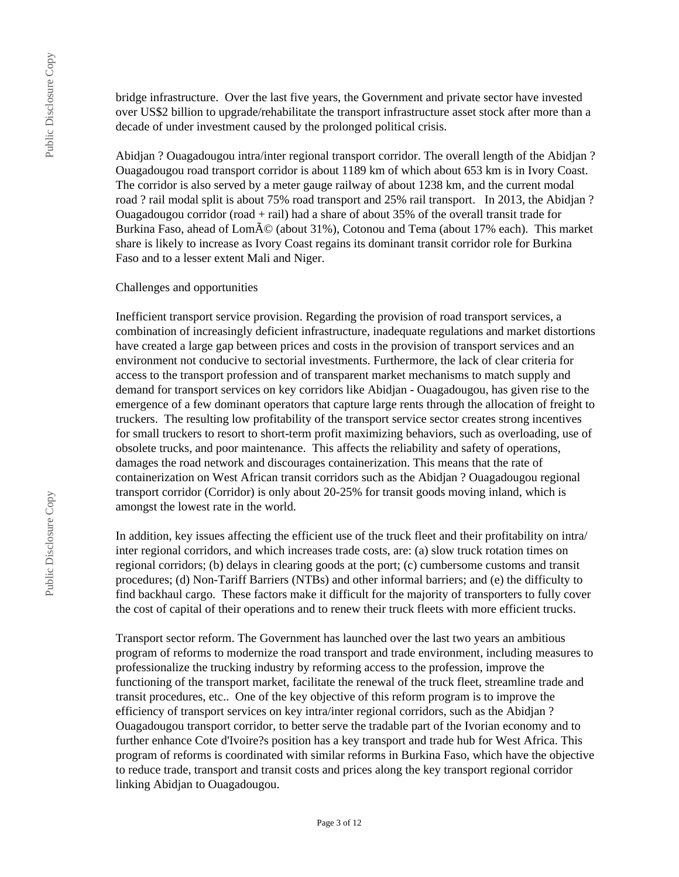bridge infrastructure. Over the last five years, the Government and private sector have invested over US\$2 billion to upgrade/rehabilitate the transport infrastructure asset stock after more than a decade of under investment caused by the prolonged political crisis.

Abidjan ? Ouagadougou intra/inter regional transport corridor. The overall length of the Abidjan ? Ouagadougou road transport corridor is about 1189 km of which about 653 km is in Ivory Coast. The corridor is also served by a meter gauge railway of about 1238 km, and the current modal road ? rail modal split is about 75% road transport and 25% rail transport. In 2013, the Abidjan ? Ouagadougou corridor (road + rail) had a share of about 35% of the overall transit trade for Burkina Faso, ahead of Lomé (about 31%), Cotonou and Tema (about 17% each). This market share is likely to increase as Ivory Coast regains its dominant transit corridor role for Burkina Faso and to a lesser extent Mali and Niger.

#### Challenges and opportunities

Inefficient transport service provision. Regarding the provision of road transport services, a combination of increasingly deficient infrastructure, inadequate regulations and market distortions have created a large gap between prices and costs in the provision of transport services and an environment not conducive to sectorial investments. Furthermore, the lack of clear criteria for access to the transport profession and of transparent market mechanisms to match supply and demand for transport services on key corridors like Abidjan - Ouagadougou, has given rise to the emergence of a few dominant operators that capture large rents through the allocation of freight to truckers. The resulting low profitability of the transport service sector creates strong incentives for small truckers to resort to short-term profit maximizing behaviors, such as overloading, use of obsolete trucks, and poor maintenance. This affects the reliability and safety of operations, damages the road network and discourages containerization. This means that the rate of containerization on West African transit corridors such as the Abidjan ? Ouagadougou regional transport corridor (Corridor) is only about 20-25% for transit goods moving inland, which is amongst the lowest rate in the world.

In addition, key issues affecting the efficient use of the truck fleet and their profitability on intra/ inter regional corridors, and which increases trade costs, are: (a) slow truck rotation times on regional corridors; (b) delays in clearing goods at the port; (c) cumbersome customs and transit procedures; (d) Non-Tariff Barriers (NTBs) and other informal barriers; and (e) the difficulty to find backhaul cargo. These factors make it difficult for the majority of transporters to fully cover the cost of capital of their operations and to renew their truck fleets with more efficient trucks.

Transport sector reform. The Government has launched over the last two years an ambitious program of reforms to modernize the road transport and trade environment, including measures to professionalize the trucking industry by reforming access to the profession, improve the functioning of the transport market, facilitate the renewal of the truck fleet, streamline trade and transit procedures, etc.. One of the key objective of this reform program is to improve the efficiency of transport services on key intra/inter regional corridors, such as the Abidjan ? Ouagadougou transport corridor, to better serve the tradable part of the Ivorian economy and to further enhance Cote d'Ivoire?s position has a key transport and trade hub for West Africa. This program of reforms is coordinated with similar reforms in Burkina Faso, which have the objective to reduce trade, transport and transit costs and prices along the key transport regional corridor linking Abidjan to Ouagadougou.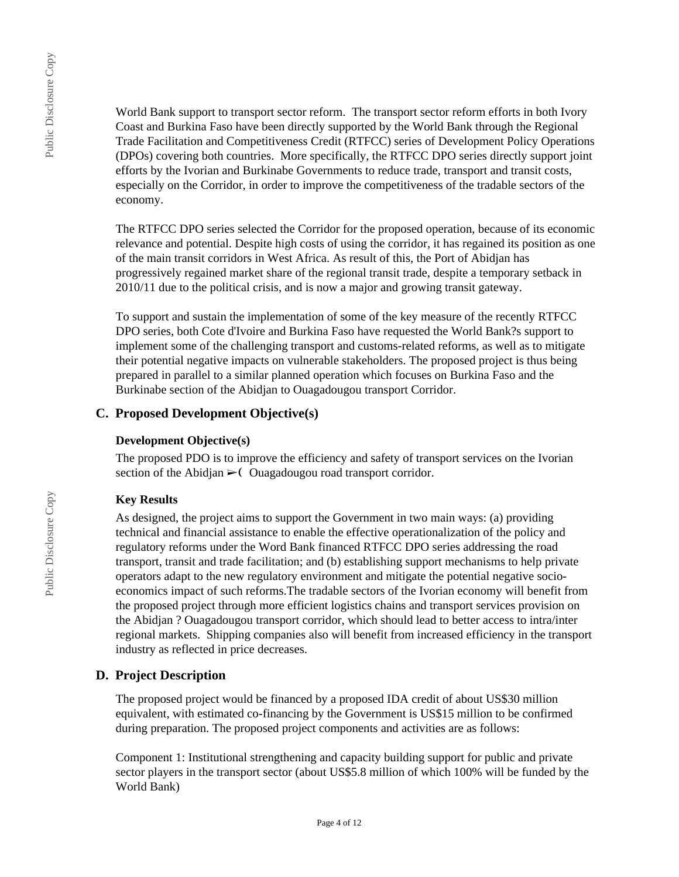Public Disclosure Copy

Public Disclosure Copy

World Bank support to transport sector reform. The transport sector reform efforts in both Ivory Coast and Burkina Faso have been directly supported by the World Bank through the Regional Trade Facilitation and Competitiveness Credit (RTFCC) series of Development Policy Operations (DPOs) covering both countries. More specifically, the RTFCC DPO series directly support joint efforts by the Ivorian and Burkinabe Governments to reduce trade, transport and transit costs, especially on the Corridor, in order to improve the competitiveness of the tradable sectors of the economy.

The RTFCC DPO series selected the Corridor for the proposed operation, because of its economic relevance and potential. Despite high costs of using the corridor, it has regained its position as one of the main transit corridors in West Africa. As result of this, the Port of Abidjan has progressively regained market share of the regional transit trade, despite a temporary setback in 2010/11 due to the political crisis, and is now a major and growing transit gateway.

To support and sustain the implementation of some of the key measure of the recently RTFCC DPO series, both Cote d'Ivoire and Burkina Faso have requested the World Bank?s support to implement some of the challenging transport and customs-related reforms, as well as to mitigate their potential negative impacts on vulnerable stakeholders. The proposed project is thus being prepared in parallel to a similar planned operation which focuses on Burkina Faso and the Burkinabe section of the Abidjan to Ouagadougou transport Corridor.

## **C. Proposed Development Objective(s)**

#### **Development Objective(s)**

The proposed PDO is to improve the efficiency and safety of transport services on the Ivorian section of the Abidjan  $\geq$  (Ouagadougou road transport corridor.

### **Key Results**

As designed, the project aims to support the Government in two main ways: (a) providing technical and financial assistance to enable the effective operationalization of the policy and regulatory reforms under the Word Bank financed RTFCC DPO series addressing the road transport, transit and trade facilitation; and (b) establishing support mechanisms to help private operators adapt to the new regulatory environment and mitigate the potential negative socioeconomics impact of such reforms.The tradable sectors of the Ivorian economy will benefit from the proposed project through more efficient logistics chains and transport services provision on the Abidjan ? Ouagadougou transport corridor, which should lead to better access to intra/inter regional markets. Shipping companies also will benefit from increased efficiency in the transport industry as reflected in price decreases.

## **D. Project Description**

The proposed project would be financed by a proposed IDA credit of about US\$30 million equivalent, with estimated co-financing by the Government is US\$15 million to be confirmed during preparation. The proposed project components and activities are as follows:

Component 1: Institutional strengthening and capacity building support for public and private sector players in the transport sector (about US\$5.8 million of which 100% will be funded by the World Bank)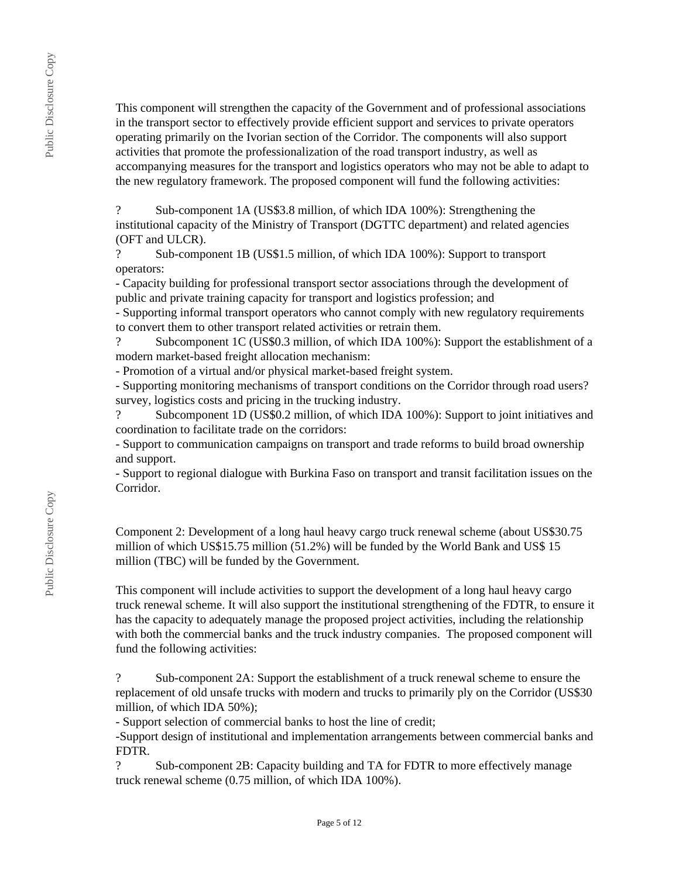This component will strengthen the capacity of the Government and of professional associations in the transport sector to effectively provide efficient support and services to private operators operating primarily on the Ivorian section of the Corridor. The components will also support activities that promote the professionalization of the road transport industry, as well as accompanying measures for the transport and logistics operators who may not be able to adapt to the new regulatory framework. The proposed component will fund the following activities:

? Sub-component 1A (US\$3.8 million, of which IDA 100%): Strengthening the institutional capacity of the Ministry of Transport (DGTTC department) and related agencies (OFT and ULCR).

? Sub-component 1B (US\$1.5 million, of which IDA 100%): Support to transport operators:

- Capacity building for professional transport sector associations through the development of public and private training capacity for transport and logistics profession; and

- Supporting informal transport operators who cannot comply with new regulatory requirements to convert them to other transport related activities or retrain them.

? Subcomponent 1C (US\$0.3 million, of which IDA 100%): Support the establishment of a modern market-based freight allocation mechanism:

- Promotion of a virtual and/or physical market-based freight system.

- Supporting monitoring mechanisms of transport conditions on the Corridor through road users? survey, logistics costs and pricing in the trucking industry.<br>
<sup>2</sup> Subcomponent 1D (US\$0.2 million of which IDA

Subcomponent 1D (US\$0.2 million, of which IDA 100%): Support to joint initiatives and coordination to facilitate trade on the corridors:

- Support to communication campaigns on transport and trade reforms to build broad ownership and support.

- Support to regional dialogue with Burkina Faso on transport and transit facilitation issues on the Corridor.

Component 2: Development of a long haul heavy cargo truck renewal scheme (about US\$30.75 million of which US\$15.75 million (51.2%) will be funded by the World Bank and US\$ 15 million (TBC) will be funded by the Government.

This component will include activities to support the development of a long haul heavy cargo truck renewal scheme. It will also support the institutional strengthening of the FDTR, to ensure it has the capacity to adequately manage the proposed project activities, including the relationship with both the commercial banks and the truck industry companies. The proposed component will fund the following activities:

? Sub-component 2A: Support the establishment of a truck renewal scheme to ensure the replacement of old unsafe trucks with modern and trucks to primarily ply on the Corridor (US\$30 million, of which IDA 50%);

- Support selection of commercial banks to host the line of credit;

-Support design of institutional and implementation arrangements between commercial banks and FDTR.

? Sub-component 2B: Capacity building and TA for FDTR to more effectively manage truck renewal scheme (0.75 million, of which IDA 100%).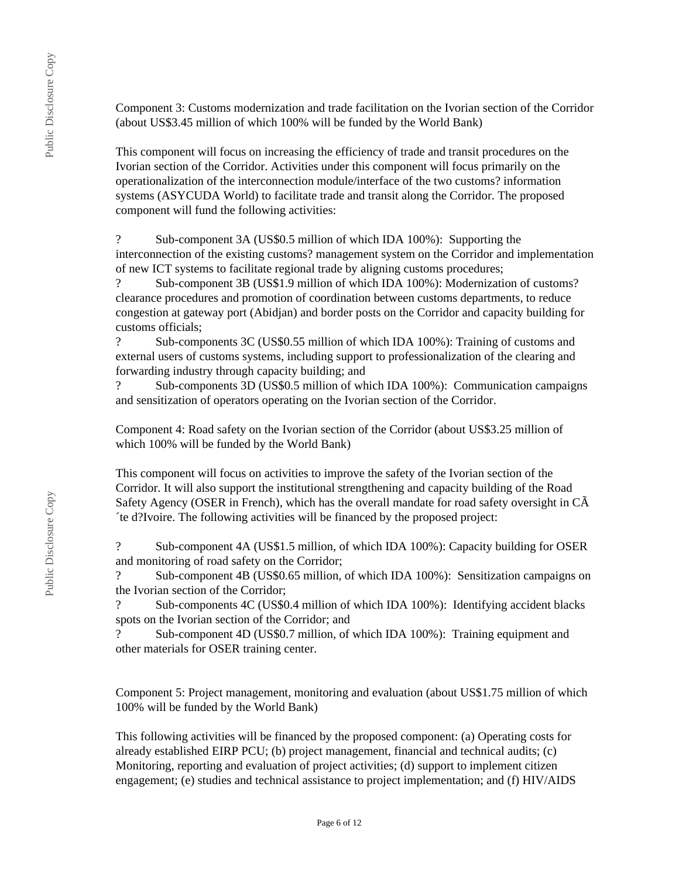Component 3: Customs modernization and trade facilitation on the Ivorian section of the Corridor (about US\$3.45 million of which 100% will be funded by the World Bank)

This component will focus on increasing the efficiency of trade and transit procedures on the Ivorian section of the Corridor. Activities under this component will focus primarily on the operationalization of the interconnection module/interface of the two customs? information systems (ASYCUDA World) to facilitate trade and transit along the Corridor. The proposed component will fund the following activities:

? Sub-component 3A (US\$0.5 million of which IDA 100%): Supporting the interconnection of the existing customs? management system on the Corridor and implementation of new ICT systems to facilitate regional trade by aligning customs procedures;

? Sub-component 3B (US\$1.9 million of which IDA 100%): Modernization of customs? clearance procedures and promotion of coordination between customs departments, to reduce congestion at gateway port (Abidjan) and border posts on the Corridor and capacity building for customs officials;

? Sub-components 3C (US\$0.55 million of which IDA 100%): Training of customs and external users of customs systems, including support to professionalization of the clearing and forwarding industry through capacity building; and

? Sub-components 3D (US\$0.5 million of which IDA 100%): Communication campaigns and sensitization of operators operating on the Ivorian section of the Corridor.

Component 4: Road safety on the Ivorian section of the Corridor (about US\$3.25 million of which 100% will be funded by the World Bank)

This component will focus on activities to improve the safety of the Ivorian section of the Corridor. It will also support the institutional strengthening and capacity building of the Road Safety Agency (OSER in French), which has the overall mandate for road safety oversight in CÃ ´te d?Ivoire. The following activities will be financed by the proposed project:

? Sub-component 4A (US\$1.5 million, of which IDA 100%): Capacity building for OSER and monitoring of road safety on the Corridor;

? Sub-component 4B (US\$0.65 million, of which IDA 100%): Sensitization campaigns on the Ivorian section of the Corridor;

? Sub-components 4C (US\$0.4 million of which IDA 100%): Identifying accident blacks spots on the Ivorian section of the Corridor; and

? Sub-component 4D (US\$0.7 million, of which IDA 100%): Training equipment and other materials for OSER training center.

Component 5: Project management, monitoring and evaluation (about US\$1.75 million of which 100% will be funded by the World Bank)

This following activities will be financed by the proposed component: (a) Operating costs for already established EIRP PCU; (b) project management, financial and technical audits; (c) Monitoring, reporting and evaluation of project activities; (d) support to implement citizen engagement; (e) studies and technical assistance to project implementation; and (f) HIV/AIDS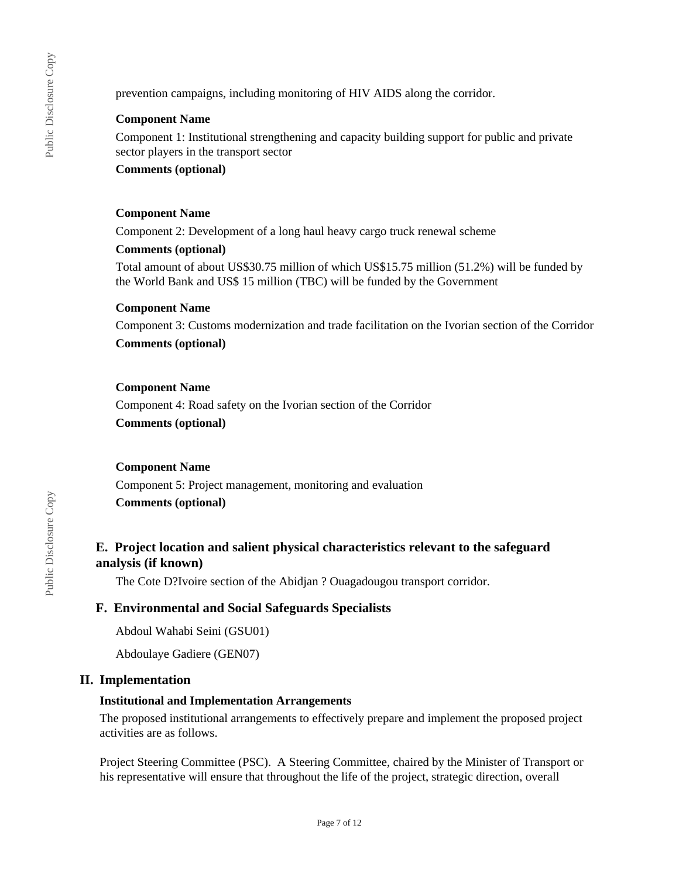prevention campaigns, including monitoring of HIV AIDS along the corridor.

### **Component Name**

Component 1: Institutional strengthening and capacity building support for public and private sector players in the transport sector

#### **Comments (optional)**

#### **Component Name**

Component 2: Development of a long haul heavy cargo truck renewal scheme

#### **Comments (optional)**

Total amount of about US\$30.75 million of which US\$15.75 million (51.2%) will be funded by the World Bank and US\$ 15 million (TBC) will be funded by the Government

#### **Component Name**

Component 3: Customs modernization and trade facilitation on the Ivorian section of the Corridor **Comments (optional)**

#### **Component Name**

Component 4: Road safety on the Ivorian section of the Corridor **Comments (optional)**

### **Component Name**

Component 5: Project management, monitoring and evaluation **Comments (optional)**

# **E. Project location and salient physical characteristics relevant to the safeguard analysis (if known)**

The Cote D?Ivoire section of the Abidjan ? Ouagadougou transport corridor.

### **F. Environmental and Social Safeguards Specialists**

Abdoul Wahabi Seini (GSU01)

Abdoulaye Gadiere (GEN07)

### **II. Implementation**

### **Institutional and Implementation Arrangements**

The proposed institutional arrangements to effectively prepare and implement the proposed project activities are as follows.

Project Steering Committee (PSC). A Steering Committee, chaired by the Minister of Transport or his representative will ensure that throughout the life of the project, strategic direction, overall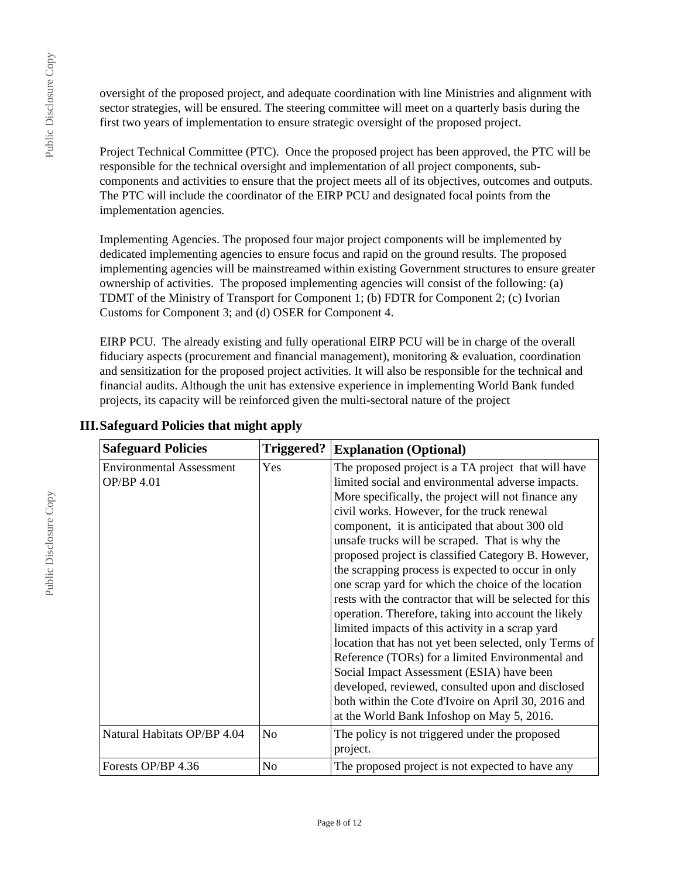oversight of the proposed project, and adequate coordination with line Ministries and alignment with sector strategies, will be ensured. The steering committee will meet on a quarterly basis during the first two years of implementation to ensure strategic oversight of the proposed project.

Project Technical Committee (PTC). Once the proposed project has been approved, the PTC will be responsible for the technical oversight and implementation of all project components, subcomponents and activities to ensure that the project meets all of its objectives, outcomes and outputs. The PTC will include the coordinator of the EIRP PCU and designated focal points from the implementation agencies.

Implementing Agencies. The proposed four major project components will be implemented by dedicated implementing agencies to ensure focus and rapid on the ground results. The proposed implementing agencies will be mainstreamed within existing Government structures to ensure greater ownership of activities. The proposed implementing agencies will consist of the following: (a) TDMT of the Ministry of Transport for Component 1; (b) FDTR for Component 2; (c) Ivorian Customs for Component 3; and (d) OSER for Component 4.

EIRP PCU. The already existing and fully operational EIRP PCU will be in charge of the overall fiduciary aspects (procurement and financial management), monitoring & evaluation, coordination and sensitization for the proposed project activities. It will also be responsible for the technical and financial audits. Although the unit has extensive experience in implementing World Bank funded projects, its capacity will be reinforced given the multi-sectoral nature of the project

| <b>Safeguard Policies</b>                     | Triggered? | <b>Explanation (Optional)</b>                                                                                                                                                                                                                                                                                                                                                                                                                                                                                                                                                                                                                                                                                                                                                                                                                                                                                                                                                        |
|-----------------------------------------------|------------|--------------------------------------------------------------------------------------------------------------------------------------------------------------------------------------------------------------------------------------------------------------------------------------------------------------------------------------------------------------------------------------------------------------------------------------------------------------------------------------------------------------------------------------------------------------------------------------------------------------------------------------------------------------------------------------------------------------------------------------------------------------------------------------------------------------------------------------------------------------------------------------------------------------------------------------------------------------------------------------|
| <b>Environmental Assessment</b><br>OP/BP 4.01 | Yes        | The proposed project is a TA project that will have<br>limited social and environmental adverse impacts.<br>More specifically, the project will not finance any<br>civil works. However, for the truck renewal<br>component, it is anticipated that about 300 old<br>unsafe trucks will be scraped. That is why the<br>proposed project is classified Category B. However,<br>the scrapping process is expected to occur in only<br>one scrap yard for which the choice of the location<br>rests with the contractor that will be selected for this<br>operation. Therefore, taking into account the likely<br>limited impacts of this activity in a scrap yard<br>location that has not yet been selected, only Terms of<br>Reference (TORs) for a limited Environmental and<br>Social Impact Assessment (ESIA) have been<br>developed, reviewed, consulted upon and disclosed<br>both within the Cote d'Ivoire on April 30, 2016 and<br>at the World Bank Infoshop on May 5, 2016. |
| Natural Habitats OP/BP 4.04                   | No.        | The policy is not triggered under the proposed<br>project.                                                                                                                                                                                                                                                                                                                                                                                                                                                                                                                                                                                                                                                                                                                                                                                                                                                                                                                           |
| Forests OP/BP 4.36                            | No         | The proposed project is not expected to have any                                                                                                                                                                                                                                                                                                                                                                                                                                                                                                                                                                                                                                                                                                                                                                                                                                                                                                                                     |

# **III.Safeguard Policies that might apply**

Public Disclosure Copy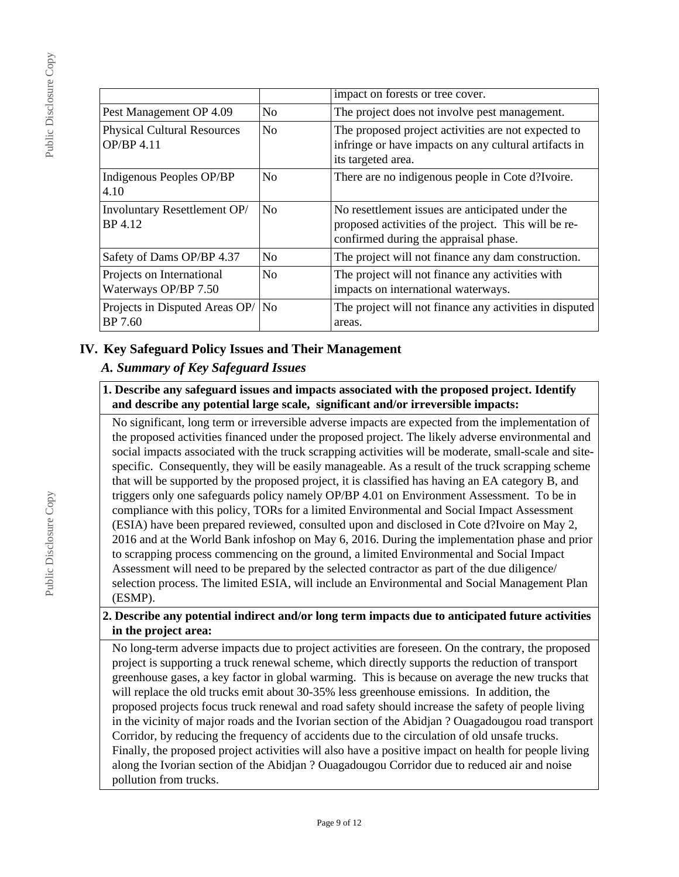|                                                         |                | impact on forests or tree cover.                                                                                                                  |
|---------------------------------------------------------|----------------|---------------------------------------------------------------------------------------------------------------------------------------------------|
| Pest Management OP 4.09                                 | N <sub>0</sub> | The project does not involve pest management.                                                                                                     |
| <b>Physical Cultural Resources</b><br><b>OP/BP 4.11</b> | N <sub>0</sub> | The proposed project activities are not expected to<br>infringe or have impacts on any cultural artifacts in<br>its targeted area.                |
| Indigenous Peoples OP/BP<br>4.10                        | No.            | There are no indigenous people in Cote d?Ivoire.                                                                                                  |
| Involuntary Resettlement OP/<br>BP 4.12                 | N <sub>0</sub> | No resettlement issues are anticipated under the<br>proposed activities of the project. This will be re-<br>confirmed during the appraisal phase. |
| Safety of Dams OP/BP 4.37                               | No.            | The project will not finance any dam construction.                                                                                                |
| Projects on International<br>Waterways OP/BP 7.50       | No             | The project will not finance any activities with<br>impacts on international waterways.                                                           |
| Projects in Disputed Areas OP/   No<br>BP 7.60          |                | The project will not finance any activities in disputed<br>areas.                                                                                 |

# **IV. Key Safeguard Policy Issues and Their Management**

# *A. Summary of Key Safeguard Issues*

**1. Describe any safeguard issues and impacts associated with the proposed project. Identify and describe any potential large scale, significant and/or irreversible impacts:**

No significant, long term or irreversible adverse impacts are expected from the implementation of the proposed activities financed under the proposed project. The likely adverse environmental and social impacts associated with the truck scrapping activities will be moderate, small-scale and sitespecific. Consequently, they will be easily manageable. As a result of the truck scrapping scheme that will be supported by the proposed project, it is classified has having an EA category B, and triggers only one safeguards policy namely OP/BP 4.01 on Environment Assessment. To be in compliance with this policy, TORs for a limited Environmental and Social Impact Assessment (ESIA) have been prepared reviewed, consulted upon and disclosed in Cote d?Ivoire on May 2, 2016 and at the World Bank infoshop on May 6, 2016. During the implementation phase and prior to scrapping process commencing on the ground, a limited Environmental and Social Impact Assessment will need to be prepared by the selected contractor as part of the due diligence/ selection process. The limited ESIA, will include an Environmental and Social Management Plan (ESMP).

## **2. Describe any potential indirect and/or long term impacts due to anticipated future activities in the project area:**

No long-term adverse impacts due to project activities are foreseen. On the contrary, the proposed project is supporting a truck renewal scheme, which directly supports the reduction of transport greenhouse gases, a key factor in global warming. This is because on average the new trucks that will replace the old trucks emit about 30-35% less greenhouse emissions. In addition, the proposed projects focus truck renewal and road safety should increase the safety of people living in the vicinity of major roads and the Ivorian section of the Abidjan ? Ouagadougou road transport Corridor, by reducing the frequency of accidents due to the circulation of old unsafe trucks. Finally, the proposed project activities will also have a positive impact on health for people living along the Ivorian section of the Abidjan ? Ouagadougou Corridor due to reduced air and noise pollution from trucks.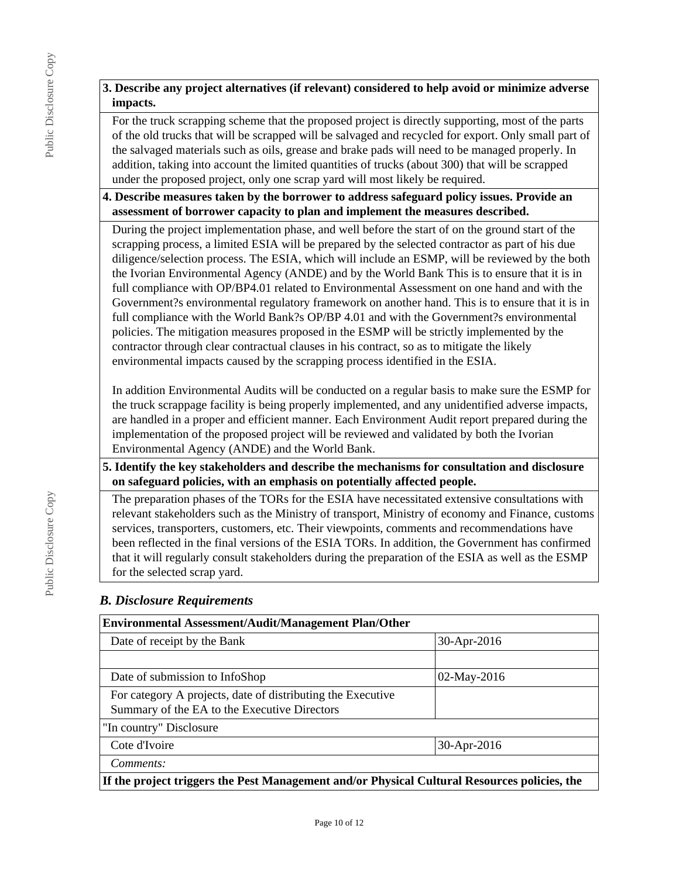# **3. Describe any project alternatives (if relevant) considered to help avoid or minimize adverse impacts.**

For the truck scrapping scheme that the proposed project is directly supporting, most of the parts of the old trucks that will be scrapped will be salvaged and recycled for export. Only small part of the salvaged materials such as oils, grease and brake pads will need to be managed properly. In addition, taking into account the limited quantities of trucks (about 300) that will be scrapped under the proposed project, only one scrap yard will most likely be required.

**4. Describe measures taken by the borrower to address safeguard policy issues. Provide an assessment of borrower capacity to plan and implement the measures described.**

During the project implementation phase, and well before the start of on the ground start of the scrapping process, a limited ESIA will be prepared by the selected contractor as part of his due diligence/selection process. The ESIA, which will include an ESMP, will be reviewed by the both the Ivorian Environmental Agency (ANDE) and by the World Bank This is to ensure that it is in full compliance with OP/BP4.01 related to Environmental Assessment on one hand and with the Government?s environmental regulatory framework on another hand. This is to ensure that it is in full compliance with the World Bank?s OP/BP 4.01 and with the Government?s environmental policies. The mitigation measures proposed in the ESMP will be strictly implemented by the contractor through clear contractual clauses in his contract, so as to mitigate the likely environmental impacts caused by the scrapping process identified in the ESIA.

In addition Environmental Audits will be conducted on a regular basis to make sure the ESMP for the truck scrappage facility is being properly implemented, and any unidentified adverse impacts, are handled in a proper and efficient manner. Each Environment Audit report prepared during the implementation of the proposed project will be reviewed and validated by both the Ivorian Environmental Agency (ANDE) and the World Bank.

**5. Identify the key stakeholders and describe the mechanisms for consultation and disclosure on safeguard policies, with an emphasis on potentially affected people.**

The preparation phases of the TORs for the ESIA have necessitated extensive consultations with relevant stakeholders such as the Ministry of transport, Ministry of economy and Finance, customs services, transporters, customers, etc. Their viewpoints, comments and recommendations have been reflected in the final versions of the ESIA TORs. In addition, the Government has confirmed that it will regularly consult stakeholders during the preparation of the ESIA as well as the ESMP for the selected scrap yard.

# *B. Disclosure Requirements*

| <b>Environmental Assessment/Audit/Management Plan/Other</b>                                  |                |  |  |
|----------------------------------------------------------------------------------------------|----------------|--|--|
| Date of receipt by the Bank                                                                  | 30-Apr-2016    |  |  |
|                                                                                              |                |  |  |
| Date of submission to InfoShop                                                               | $02$ -May-2016 |  |  |
| For category A projects, date of distributing the Executive                                  |                |  |  |
| Summary of the EA to the Executive Directors                                                 |                |  |  |
| "In country" Disclosure                                                                      |                |  |  |
| Cote d'Ivoire<br>30-Apr-2016                                                                 |                |  |  |
| Comments:                                                                                    |                |  |  |
| If the project triggers the Pest Management and/or Physical Cultural Resources policies, the |                |  |  |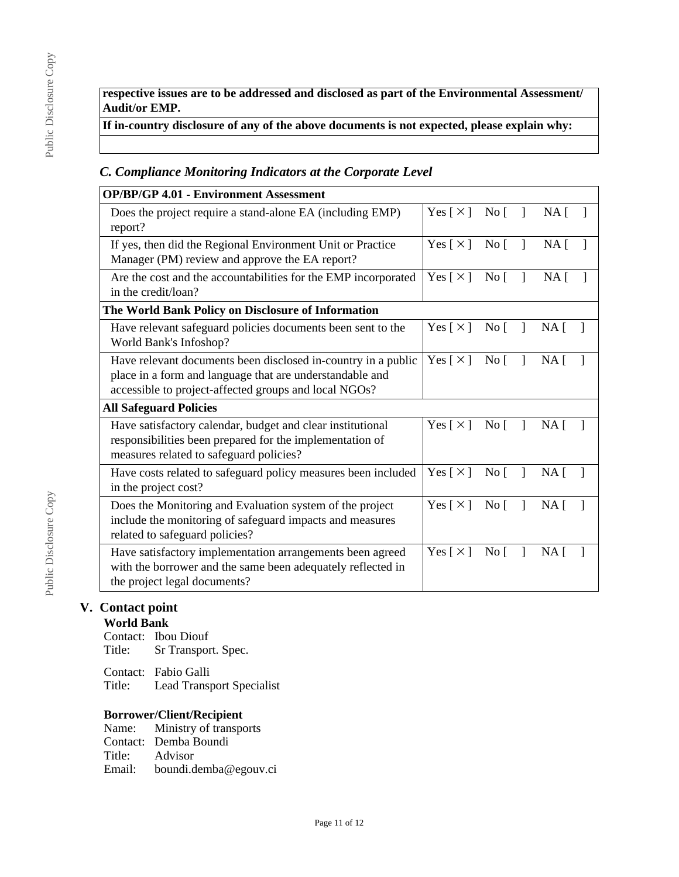**respective issues are to be addressed and disclosed as part of the Environmental Assessment/ Audit/or EMP.**

**If in-country disclosure of any of the above documents is not expected, please explain why:**

# *C. Compliance Monitoring Indicators at the Corporate Level*

| <b>OP/BP/GP 4.01 - Environment Assessment</b>                                                                                                                                      |                            |                  |              |                 |   |
|------------------------------------------------------------------------------------------------------------------------------------------------------------------------------------|----------------------------|------------------|--------------|-----------------|---|
| Does the project require a stand-alone EA (including EMP)<br>report?                                                                                                               | Yes $\lceil \times \rceil$ | $\overline{N}$ o |              | NA <sub>1</sub> |   |
| If yes, then did the Regional Environment Unit or Practice<br>Manager (PM) review and approve the EA report?                                                                       | Yes $\lceil \times \rceil$ | $\overline{N}$ o | $\mathbf{I}$ | NA <sub>1</sub> |   |
| Are the cost and the accountabilities for the EMP incorporated<br>in the credit/loan?                                                                                              | Yes [ $\times$ ]           | $\overline{N}$ o |              | NA <sub>1</sub> |   |
| The World Bank Policy on Disclosure of Information                                                                                                                                 |                            |                  |              |                 |   |
| Have relevant safeguard policies documents been sent to the<br>World Bank's Infoshop?                                                                                              | Yes $\lceil \times \rceil$ | No <sub>1</sub>  |              | NA <sub>1</sub> |   |
| Have relevant documents been disclosed in-country in a public<br>place in a form and language that are understandable and<br>accessible to project-affected groups and local NGOs? | Yes $\lceil \times \rceil$ | $\rm No~$        | -1           | NA <sub>1</sub> | 1 |
| <b>All Safeguard Policies</b>                                                                                                                                                      |                            |                  |              |                 |   |
| Have satisfactory calendar, budget and clear institutional<br>responsibilities been prepared for the implementation of<br>measures related to safeguard policies?                  | Yes $\lceil \times \rceil$ | No <sub>1</sub>  |              | NA <sub>1</sub> |   |
| Have costs related to safeguard policy measures been included<br>in the project cost?                                                                                              | Yes $\lceil \times \rceil$ | $\overline{N}$ o |              | $NA \Gamma$     |   |
| Does the Monitoring and Evaluation system of the project<br>include the monitoring of safeguard impacts and measures<br>related to safeguard policies?                             | Yes $\lceil \times \rceil$ | $\overline{N}$ o |              | NA <sub>1</sub> |   |
| Have satisfactory implementation arrangements been agreed<br>with the borrower and the same been adequately reflected in<br>the project legal documents?                           | Yes $\lceil \times \rceil$ | No <sub>1</sub>  |              | $NA$ [          |   |

# **V. Contact point**

## **World Bank**

Contact: Ibou Diouf<br>Title: Sr Transpor Sr Transport. Spec.

Contact: Fabio Galli Lead Transport Specialist

# **Borrower/Client/Recipient**

|        | Name: Ministry of transports |
|--------|------------------------------|
|        | Contact: Demba Boundi        |
| Title: | Advisor                      |
| Email: | boundi.demba@egouv.ci        |